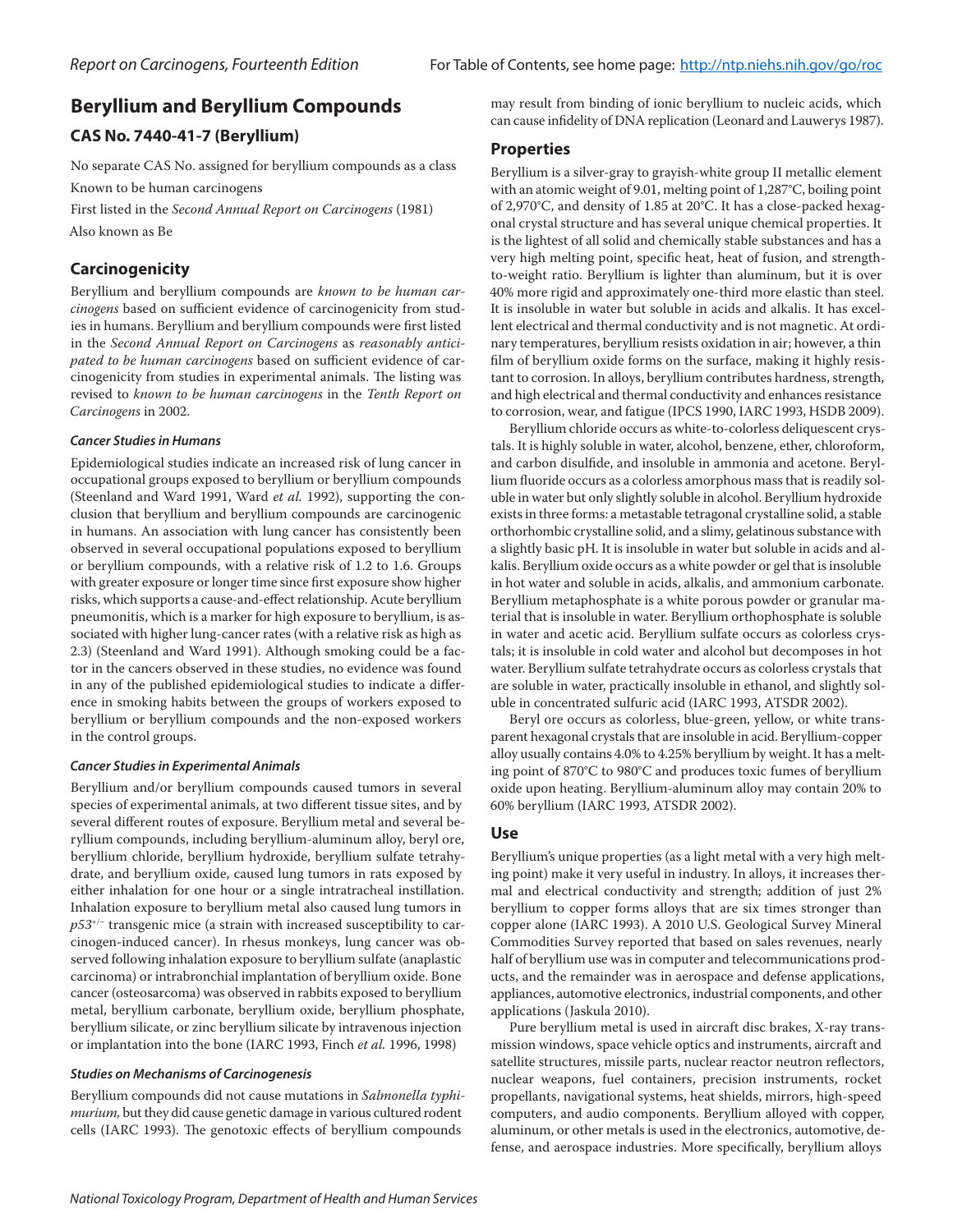# **Beryllium and Beryllium Compounds**

# **CAS No. 7440-41-7 (Beryllium)**

No separate CAS No. assigned for beryllium compounds as a class Known to be human carcinogens

First listed in the *Second Annual Report on Carcinogens* (1981) Also known as Be

# **Carcinogenicity**

Beryllium and beryllium compounds are *known to be human carcinogens* based on sufficient evidence of carcinogenicity from studies in humans. Beryllium and beryllium compounds were first listed in the *Second Annual Report on Carcinogens* as *reasonably anticipated to be human carcinogens* based on sufficient evidence of carcinogenicity from studies in experimental animals. The listing was revised to *known to be human carcinogens* in the *Tenth Report on Carcinogens* in 2002.

# *Cancer Studies in Humans*

Epidemiological studies indicate an increased risk of lung cancer in occupational groups exposed to beryllium or beryllium compounds (Steenland and Ward 1991, Ward *et al.* 1992), supporting the conclusion that beryllium and beryllium compounds are carcinogenic in humans. An association with lung cancer has consistently been observed in several occupational populations exposed to beryllium or beryllium compounds, with a relative risk of 1.2 to 1.6. Groups with greater exposure or longer time since first exposure show higher risks, which supports a cause-and-effect relationship. Acute beryllium pneumonitis, which is a marker for high exposure to beryllium, is associated with higher lung-cancer rates (with a relative risk as high as 2.3) (Steenland and Ward 1991). Although smoking could be a factor in the cancers observed in these studies, no evidence was found in any of the published epidemiological studies to indicate a difference in smoking habits between the groups of workers exposed to beryllium or beryllium compounds and the non-exposed workers in the control groups.

## *Cancer Studies in Experimental Animals*

Beryllium and/or beryllium compounds caused tumors in several species of experimental animals, at two different tissue sites, and by several different routes of exposure. Beryllium metal and several beryllium compounds, including beryllium-aluminum alloy, beryl ore, beryllium chloride, beryllium hydroxide, beryllium sulfate tetrahydrate, and beryllium oxide, caused lung tumors in rats exposed by either inhalation for one hour or a single intratracheal instillation. Inhalation exposure to beryllium metal also caused lung tumors in *p53*+/– transgenic mice (a strain with increased susceptibility to carcinogen-induced cancer). In rhesus monkeys, lung cancer was observed following inhalation exposure to beryllium sulfate (anaplastic carcinoma) or intrabronchial implantation of beryllium oxide. Bone cancer (osteosarcoma) was observed in rabbits exposed to beryllium metal, beryllium carbonate, beryllium oxide, beryllium phosphate, beryllium silicate, or zinc beryllium silicate by intravenous injection or implantation into the bone (IARC 1993, Finch *et al.* 1996, 1998)

# *Studies on Mechanisms of Carcinogenesis*

Beryllium compounds did not cause mutations in *Salmonella typhimurium,* but they did cause genetic damage in various cultured rodent cells (IARC 1993). The genotoxic effects of beryllium compounds

may result from binding of ionic beryllium to nucleic acids, which can cause infidelity of DNA replication (Leonard and Lauwerys 1987).

# **Properties**

Beryllium is a silver-gray to grayish-white group II metallic element with an atomic weight of 9.01, melting point of 1,287°C, boiling point of 2,970°C, and density of 1.85 at 20°C. It has a close-packed hexagonal crystal structure and has several unique chemical properties. It is the lightest of all solid and chemically stable substances and has a very high melting point, specific heat, heat of fusion, and strengthto-weight ratio. Beryllium is lighter than aluminum, but it is over 40% more rigid and approximately one-third more elastic than steel. It is insoluble in water but soluble in acids and alkalis. It has excellent electrical and thermal conductivity and is not magnetic. At ordinary temperatures, beryllium resists oxidation in air; however, a thin film of beryllium oxide forms on the surface, making it highly resistant to corrosion. In alloys, beryllium contributes hardness, strength, and high electrical and thermal conductivity and enhances resistance to corrosion, wear, and fatigue (IPCS 1990, IARC 1993, HSDB 2009).

Beryllium chloride occurs as white-to-colorless deliquescent crystals. It is highly soluble in water, alcohol, benzene, ether, chloroform, and carbon disulfide, and insoluble in ammonia and acetone. Beryllium fluoride occurs as a colorless amorphous mass that is readily soluble in water but only slightly soluble in alcohol. Beryllium hydroxide exists in three forms: a metastable tetragonal crystalline solid, a stable orthorhombic crystalline solid, and a slimy, gelatinous substance with a slightly basic pH. It is insoluble in water but soluble in acids and alkalis. Beryllium oxide occurs as a white powder or gel that is insoluble in hot water and soluble in acids, alkalis, and ammonium carbonate. Beryllium metaphosphate is a white porous powder or granular material that is insoluble in water. Beryllium orthophosphate is soluble in water and acetic acid. Beryllium sulfate occurs as colorless crystals; it is insoluble in cold water and alcohol but decomposes in hot water. Beryllium sulfate tetrahydrate occurs as colorless crystals that are soluble in water, practically insoluble in ethanol, and slightly soluble in concentrated sulfuric acid (IARC 1993, ATSDR 2002).

Beryl ore occurs as colorless, blue-green, yellow, or white transparent hexagonal crystals that are insoluble in acid. Beryllium-copper alloy usually contains 4.0% to 4.25% beryllium by weight. It has a melting point of 870°C to 980°C and produces toxic fumes of beryllium oxide upon heating. Beryllium-aluminum alloy may contain 20% to 60% beryllium (IARC 1993, ATSDR 2002).

# **Use**

Beryllium's unique properties (as a light metal with a very high melting point) make it very useful in industry. In alloys, it increases thermal and electrical conductivity and strength; addition of just 2% beryllium to copper forms alloys that are six times stronger than copper alone (IARC 1993). A 2010 U.S. Geological Survey Mineral Commodities Survey reported that based on sales revenues, nearly half of beryllium use was in computer and telecommunications products, and the remainder was in aerospace and defense applications, appliances, automotive electronics, industrial components, and other applications (Jaskula 2010).

Pure beryllium metal is used in aircraft disc brakes, X-ray transmission windows, space vehicle optics and instruments, aircraft and satellite structures, missile parts, nuclear reactor neutron reflectors, nuclear weapons, fuel containers, precision instruments, rocket propellants, navigational systems, heat shields, mirrors, high-speed computers, and audio components. Beryllium alloyed with copper, aluminum, or other metals is used in the electronics, automotive, defense, and aerospace industries. More specifically, beryllium alloys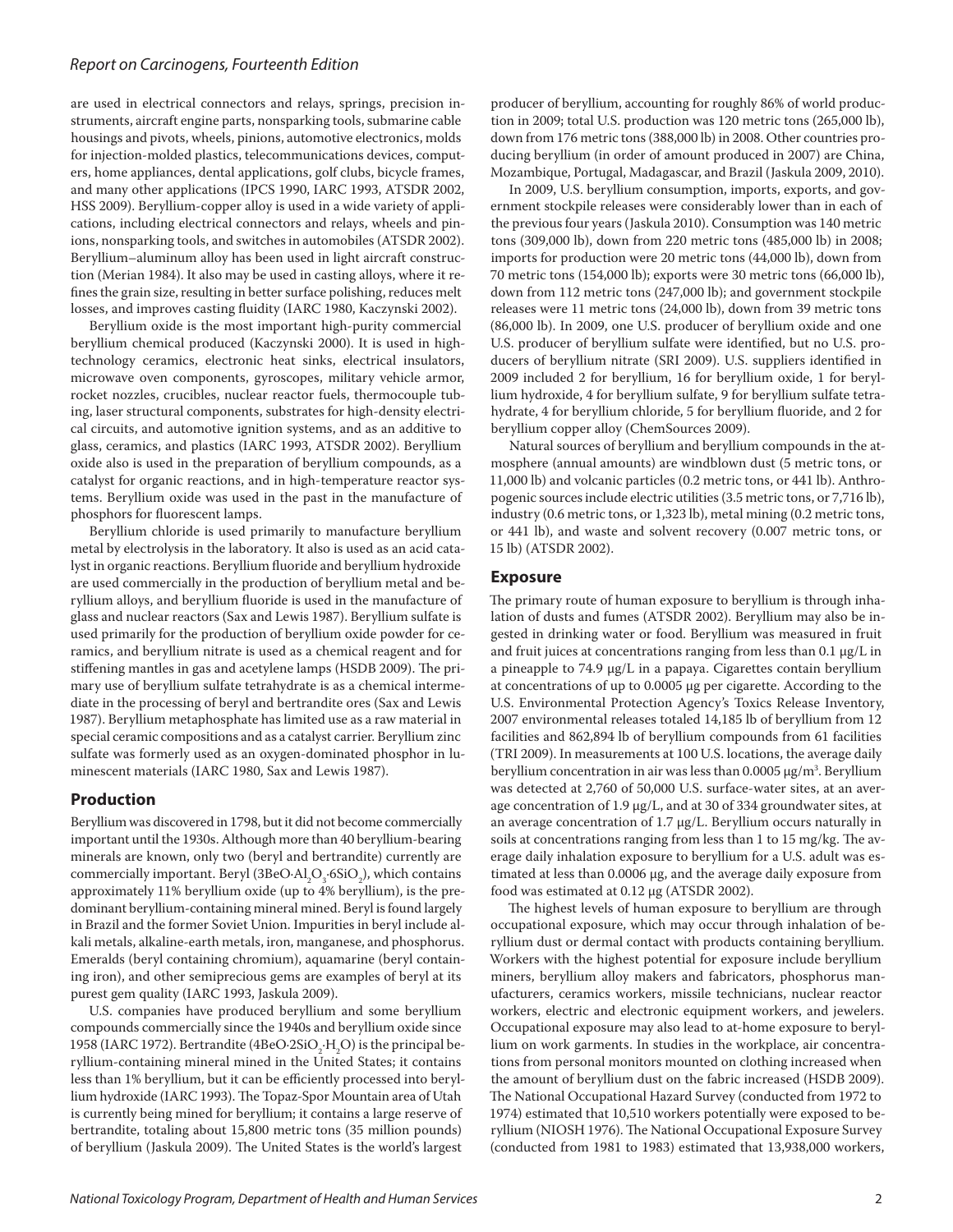## *Report on Carcinogens, Fourteenth Edition*

are used in electrical connectors and relays, springs, precision instruments, aircraft engine parts, nonsparking tools, submarine cable housings and pivots, wheels, pinions, automotive electronics, molds for injection-molded plastics, telecommunications devices, computers, home appliances, dental applications, golf clubs, bicycle frames, and many other applications (IPCS 1990, IARC 1993, ATSDR 2002, HSS 2009). Beryllium-copper alloy is used in a wide variety of applications, including electrical connectors and relays, wheels and pinions, nonsparking tools, and switches in automobiles (ATSDR 2002). Beryllium–aluminum alloy has been used in light aircraft construction (Merian 1984). It also may be used in casting alloys, where it refines the grain size, resulting in better surface polishing, reduces melt losses, and improves casting fluidity (IARC 1980, Kaczynski 2002).

Beryllium oxide is the most important high-purity commercial beryllium chemical produced (Kaczynski 2000). It is used in hightechnology ceramics, electronic heat sinks, electrical insulators, microwave oven components, gyroscopes, military vehicle armor, rocket nozzles, crucibles, nuclear reactor fuels, thermocouple tubing, laser structural components, substrates for high-density electrical circuits, and automotive ignition systems, and as an additive to glass, ceramics, and plastics (IARC 1993, ATSDR 2002). Beryllium oxide also is used in the preparation of beryllium compounds, as a catalyst for organic reactions, and in high-temperature reactor systems. Beryllium oxide was used in the past in the manufacture of phosphors for fluorescent lamps.

Beryllium chloride is used primarily to manufacture beryllium metal by electrolysis in the laboratory. It also is used as an acid catalyst in organic reactions. Beryllium fluoride and beryllium hydroxide are used commercially in the production of beryllium metal and beryllium alloys, and beryllium fluoride is used in the manufacture of glass and nuclear reactors (Sax and Lewis 1987). Beryllium sulfate is used primarily for the production of beryllium oxide powder for ceramics, and beryllium nitrate is used as a chemical reagent and for stiffening mantles in gas and acetylene lamps (HSDB 2009). The primary use of beryllium sulfate tetrahydrate is as a chemical intermediate in the processing of beryl and bertrandite ores (Sax and Lewis 1987). Beryllium metaphosphate has limited use as a raw material in special ceramic compositions and as a catalyst carrier. Beryllium zinc sulfate was formerly used as an oxygen-dominated phosphor in luminescent materials (IARC 1980, Sax and Lewis 1987).

## **Production**

Beryllium was discovered in 1798, but it did not become commercially important until the 1930s. Although more than 40 beryllium-bearing minerals are known, only two (beryl and bertrandite) currently are commercially important. Beryl (3BeO· $\text{Al}_2\text{O}_3$ ·6SiO<sub>2</sub>), which contains approximately 11% beryllium oxide (up to 4% beryllium), is the predominant beryllium-containing mineral mined. Beryl is found largely in Brazil and the former Soviet Union. Impurities in beryl include alkali metals, alkaline-earth metals, iron, manganese, and phosphorus. Emeralds (beryl containing chromium), aquamarine (beryl containing iron), and other semiprecious gems are examples of beryl at its purest gem quality (IARC 1993, Jaskula 2009).

U.S. companies have produced beryllium and some beryllium compounds commercially since the 1940s and beryllium oxide since 1958 (IARC 1972). Bertrandite (4BeO $\cdot$ 2SiO<sub>2</sub> $\cdot$ H<sub>2</sub>O) is the principal beryllium-containing mineral mined in the United States; it contains less than 1% beryllium, but it can be efficiently processed into beryllium hydroxide (IARC 1993). The Topaz-Spor Mountain area of Utah is currently being mined for beryllium; it contains a large reserve of bertrandite, totaling about 15,800 metric tons (35 million pounds) of beryllium (Jaskula 2009). The United States is the world's largest

producer of beryllium, accounting for roughly 86% of world production in 2009; total U.S. production was 120 metric tons (265,000 lb), down from 176 metric tons (388,000 lb) in 2008. Other countries producing beryllium (in order of amount produced in 2007) are China, Mozambique, Portugal, Madagascar, and Brazil (Jaskula 2009, 2010).

In 2009, U.S. beryllium consumption, imports, exports, and government stockpile releases were considerably lower than in each of the previous four years (Jaskula 2010). Consumption was 140 metric tons (309,000 lb), down from 220 metric tons (485,000 lb) in 2008; imports for production were 20 metric tons (44,000 lb), down from 70 metric tons (154,000 lb); exports were 30 metric tons (66,000 lb), down from 112 metric tons (247,000 lb); and government stockpile releases were 11 metric tons (24,000 lb), down from 39 metric tons (86,000 lb). In 2009, one U.S. producer of beryllium oxide and one U.S. producer of beryllium sulfate were identified, but no U.S. producers of beryllium nitrate (SRI 2009). U.S. suppliers identified in 2009 included 2 for beryllium, 16 for beryllium oxide, 1 for beryllium hydroxide, 4 for beryllium sulfate, 9 for beryllium sulfate tetrahydrate, 4 for beryllium chloride, 5 for beryllium fluoride, and 2 for beryllium copper alloy (ChemSources 2009).

Natural sources of beryllium and beryllium compounds in the atmosphere (annual amounts) are windblown dust (5 metric tons, or 11,000 lb) and volcanic particles (0.2 metric tons, or 441 lb). Anthropogenic sources include electric utilities (3.5 metric tons, or 7,716 lb), industry (0.6 metric tons, or 1,323 lb), metal mining (0.2 metric tons, or 441 lb), and waste and solvent recovery (0.007 metric tons, or 15 lb) (ATSDR 2002).

### **Exposure**

The primary route of human exposure to beryllium is through inhalation of dusts and fumes (ATSDR 2002). Beryllium may also be ingested in drinking water or food. Beryllium was measured in fruit and fruit juices at concentrations ranging from less than 0.1 μg/L in a pineapple to 74.9 μg/L in a papaya. Cigarettes contain beryllium at concentrations of up to 0.0005 μg per cigarette. According to the U.S. Environmental Protection Agency's Toxics Release Inventory, 2007 environmental releases totaled 14,185 lb of beryllium from 12 facilities and 862,894 lb of beryllium compounds from 61 facilities (TRI 2009). In measurements at 100 U.S. locations, the average daily beryllium concentration in air was less than 0.0005 μg/m<sup>3</sup>. Beryllium was detected at 2,760 of 50,000 U.S. surface-water sites, at an average concentration of 1.9 μg/L, and at 30 of 334 groundwater sites, at an average concentration of 1.7 μg/L. Beryllium occurs naturally in soils at concentrations ranging from less than 1 to 15 mg/kg. The average daily inhalation exposure to beryllium for a U.S. adult was estimated at less than 0.0006 μg, and the average daily exposure from food was estimated at 0.12 μg (ATSDR 2002).

The highest levels of human exposure to beryllium are through occupational exposure, which may occur through inhalation of beryllium dust or dermal contact with products containing beryllium. Workers with the highest potential for exposure include beryllium miners, beryllium alloy makers and fabricators, phosphorus manufacturers, ceramics workers, missile technicians, nuclear reactor workers, electric and electronic equipment workers, and jewelers. Occupational exposure may also lead to at-home exposure to beryllium on work garments. In studies in the workplace, air concentrations from personal monitors mounted on clothing increased when the amount of beryllium dust on the fabric increased (HSDB 2009). The National Occupational Hazard Survey (conducted from 1972 to 1974) estimated that 10,510 workers potentially were exposed to beryllium (NIOSH 1976). The National Occupational Exposure Survey (conducted from 1981 to 1983) estimated that 13,938,000 workers,